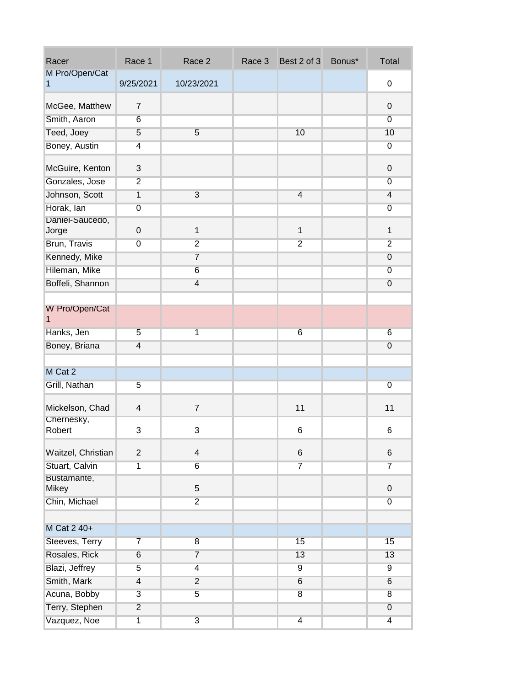| Racer                    | Race 1                  | Race 2                  | Race 3 | Best 2 of 3    | Bonus* | Total           |
|--------------------------|-------------------------|-------------------------|--------|----------------|--------|-----------------|
| M Pro/Open/Cat<br>1      | 9/25/2021               | 10/23/2021              |        |                |        | 0               |
| McGee, Matthew           | $\overline{7}$          |                         |        |                |        | $\mathbf 0$     |
| Smith, Aaron             | 6                       |                         |        |                |        | $\overline{0}$  |
| Teed, Joey               | 5                       | 5                       |        | 10             |        | 10              |
| Boney, Austin            | $\overline{4}$          |                         |        |                |        | $\overline{0}$  |
| McGuire, Kenton          | 3                       |                         |        |                |        | $\mathbf 0$     |
| Gonzales, Jose           | $\overline{2}$          |                         |        |                |        | $\overline{0}$  |
| Johnson, Scott           | $\overline{1}$          | $\overline{3}$          |        | $\overline{4}$ |        | $\overline{4}$  |
| Horak, lan               | $\overline{0}$          |                         |        |                |        | $\overline{0}$  |
| Daniel-Saucedo,<br>Jorge | $\mathbf 0$             | $\mathbf 1$             |        | $\mathbf{1}$   |        | $\mathbf{1}$    |
| Brun, Travis             | $\overline{0}$          | $\overline{2}$          |        | $\overline{2}$ |        | $\overline{2}$  |
| Kennedy, Mike            |                         | $\overline{7}$          |        |                |        | $\overline{0}$  |
| Hileman, Mike            |                         | 6                       |        |                |        | $\overline{0}$  |
| Boffeli, Shannon         |                         | $\overline{4}$          |        |                |        | $\overline{0}$  |
|                          |                         |                         |        |                |        |                 |
| W Pro/Open/Cat<br>1      |                         |                         |        |                |        |                 |
| Hanks, Jen               | $\overline{5}$          | 1                       |        | 6              |        | 6               |
| Boney, Briana            | $\overline{4}$          |                         |        |                |        | $\overline{0}$  |
|                          |                         |                         |        |                |        |                 |
| M Cat 2                  |                         |                         |        |                |        |                 |
| Grill, Nathan            | 5                       |                         |        |                |        | 0               |
| Mickelson, Chad          | $\overline{\mathbf{4}}$ | $\overline{7}$          |        | 11             |        | 11              |
| Chernesky,<br>Robert     | 3                       | 3                       |        | $\,6$          |        | 6               |
| Waitzel, Christian       | $\overline{2}$          | $\overline{\mathbf{4}}$ |        | 6              |        | 6               |
| Stuart, Calvin           | $\overline{1}$          | $6\overline{6}$         |        | 7              |        | $\overline{7}$  |
| Bustamante,              |                         |                         |        |                |        |                 |
| <b>Mikey</b>             |                         | 5                       |        |                |        | $\mathsf 0$     |
| Chin, Michael            |                         | $\overline{2}$          |        |                |        | $\overline{0}$  |
| M Cat 2 40+              |                         |                         |        |                |        |                 |
| Steeves, Terry           | $\overline{7}$          | $\overline{8}$          |        | 15             |        | 15              |
| Rosales, Rick            | $6\overline{6}$         | $\overline{7}$          |        | 13             |        | 13              |
| Blazi, Jeffrey           | 5                       | $\overline{4}$          |        | $9$            |        | $\overline{9}$  |
| Smith, Mark              | $\overline{4}$          | $\overline{2}$          |        | $\sqrt{6}$     |        | $6\overline{6}$ |
| Acuna, Bobby             | $\overline{3}$          | $\overline{5}$          |        | $\overline{8}$ |        | $\overline{8}$  |
| Terry, Stephen           | $\overline{2}$          |                         |        |                |        | $\overline{0}$  |
| Vazquez, Noe             | $\overline{1}$          | $\overline{3}$          |        | $\overline{4}$ |        | $\overline{4}$  |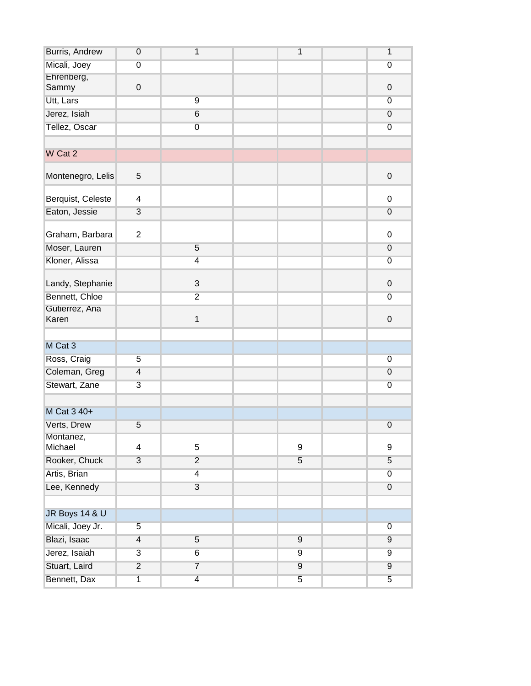| Burris, Andrew            | $\overline{0}$          | 1              | $\overline{1}$ | 1                |
|---------------------------|-------------------------|----------------|----------------|------------------|
| Micali, Joey              | $\overline{0}$          |                |                | $\overline{0}$   |
| Ehrenberg,                |                         |                |                |                  |
| Sammy                     | $\boldsymbol{0}$        |                |                | $\pmb{0}$        |
| Utt, Lars                 |                         | 9              |                | $\overline{0}$   |
| Jerez, Isiah              |                         | $6\phantom{1}$ |                | $\overline{0}$   |
| Tellez, Oscar             |                         | $\overline{0}$ |                | $\overline{0}$   |
|                           |                         |                |                |                  |
| W Cat 2                   |                         |                |                |                  |
| Montenegro, Lelis         | 5                       |                |                | $\mathsf 0$      |
| Berquist, Celeste         | 4                       |                |                | 0                |
| Eaton, Jessie             | $\overline{3}$          |                |                | $\overline{0}$   |
| Graham, Barbara           | $\overline{2}$          |                |                | 0                |
| Moser, Lauren             |                         | $\overline{5}$ |                | $\overline{0}$   |
| Kloner, Alissa            |                         | $\overline{4}$ |                | $\overline{0}$   |
|                           |                         |                |                |                  |
| Landy, Stephanie          |                         | $\mathfrak{S}$ |                | $\mathsf 0$      |
| Bennett, Chloe            |                         | $\overline{2}$ |                | $\overline{0}$   |
| Gutierrez, Ana<br>Karen   |                         | 1              |                | $\mathsf 0$      |
|                           |                         |                |                |                  |
| M Cat 3                   |                         |                |                |                  |
| Ross, Craig               | $\overline{5}$          |                |                | $\overline{0}$   |
| Coleman, Greg             | $\overline{4}$          |                |                | $\overline{0}$   |
| Stewart, Zane             | $\overline{3}$          |                |                | $\overline{0}$   |
|                           |                         |                |                |                  |
| M Cat 3 40+               |                         |                |                |                  |
| Verts, Drew               | $\overline{5}$          |                |                | $\overline{0}$   |
| Montanez,                 |                         |                |                |                  |
| Michael                   | $\overline{\mathbf{4}}$ | 5              | 9              | 9                |
| Rooker, Chuck             | $\overline{3}$          | $\overline{2}$ | 5              | $\overline{5}$   |
| Artis, Brian              |                         | $\overline{4}$ |                | $\overline{0}$   |
| Lee, Kennedy              |                         | $\overline{3}$ |                | $\boldsymbol{0}$ |
|                           |                         |                |                |                  |
| <b>JR Boys 14 &amp; U</b> |                         |                |                |                  |
| Micali, Joey Jr.          | $\overline{5}$          |                |                | $\overline{0}$   |
| Blazi, Isaac              | $\overline{4}$          | $\overline{5}$ | $\overline{9}$ | $\overline{9}$   |
| Jerez, Isaiah             | $\overline{3}$          | 6              | $\overline{9}$ | $\overline{9}$   |
| Stuart, Laird             | $\overline{2}$          | $\overline{7}$ | $\overline{9}$ | $\overline{9}$   |
| Bennett, Dax              | $\overline{1}$          | $\overline{4}$ | $\overline{5}$ | $\overline{5}$   |